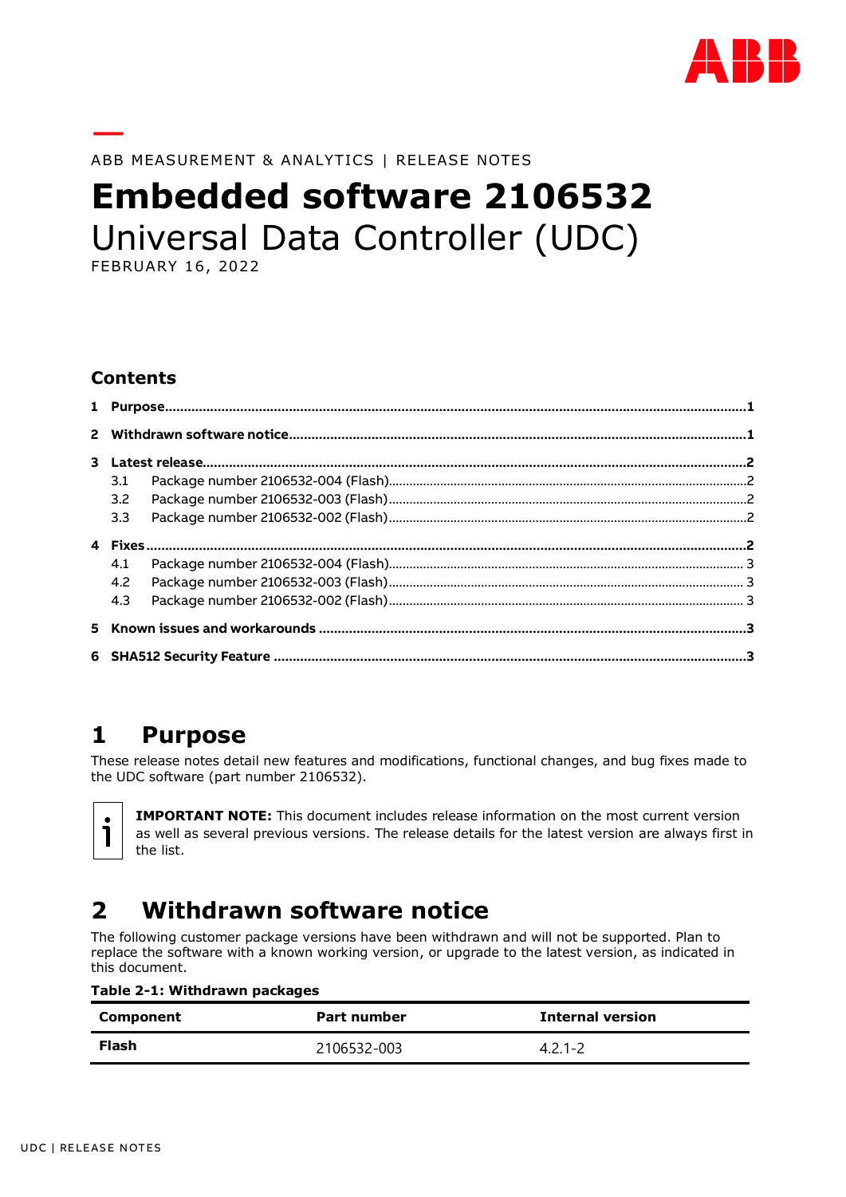

ABB MEASUREMENT & ANALYTICS | RELEASE NOTES

# **Embedded software 2106532** Universal Data Controller (UDC)

FEBRUARY 16, 2022

#### **Contents**

| 3.1 |  |  |
|-----|--|--|
| 3.2 |  |  |
| 3.3 |  |  |
|     |  |  |
| 4.1 |  |  |
| 4.2 |  |  |
| 4.3 |  |  |
|     |  |  |
|     |  |  |
|     |  |  |

## <span id="page-0-0"></span>**1 Purpose**

These release notes detail new features and modifications, functional changes, and bug fixes made to the UDC software (part number 2106532).

**IMPORTANT NOTE:** This document includes release information on the most current version as well as several previous versions. The release details for the latest version are always first in the list.

# <span id="page-0-1"></span>**2 Withdrawn software notice**

The following customer package versions have been withdrawn and will not be supported. Plan to replace the software with a known working version, or upgrade to the latest version, as indicated in this document.

|  |  | Table 2-1: Withdrawn packages |  |
|--|--|-------------------------------|--|
|--|--|-------------------------------|--|

| Component | Part number | <b>Internal version</b> |
|-----------|-------------|-------------------------|
| Flash     | 2106532-003 |                         |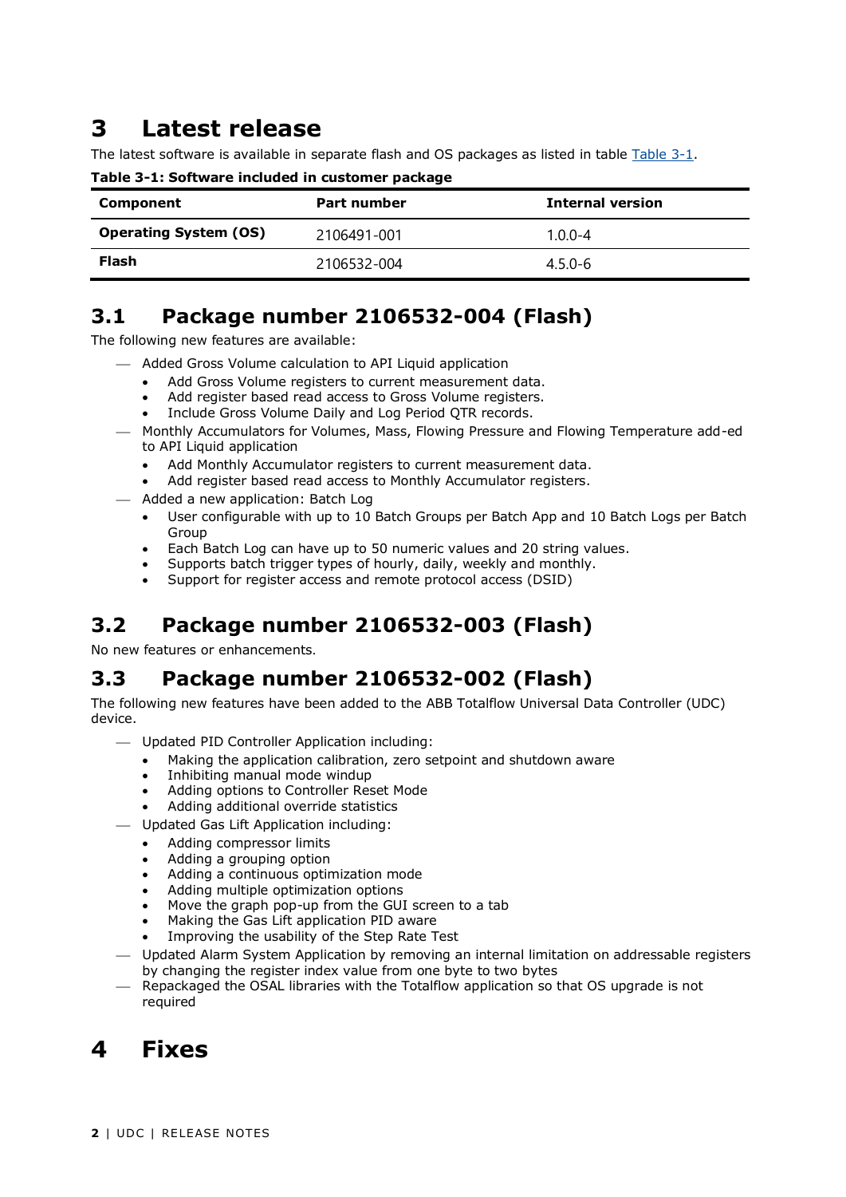## <span id="page-1-0"></span>**3 Latest release**

The latest software is available in separate flash and OS packages as listed in table [Table 3-1.](#page-1-5)

| Component                    | Part number | <b>Internal version</b> |
|------------------------------|-------------|-------------------------|
| <b>Operating System (OS)</b> | 2106491-001 | $1.0.0 - 4$             |
| Flash                        | 2106532-004 | $4.5.0 - 6$             |

<span id="page-1-5"></span>**Table 3-1: Software included in customer package**

#### <span id="page-1-1"></span>**3.1 Package number 2106532-004 (Flash)**

The following new features are available:

- $-$  Added Gross Volume calculation to API Liquid application
	- Add Gross Volume registers to current measurement data.
	- Add register based read access to Gross Volume registers.
	- Include Gross Volume Daily and Log Period QTR records.
- ⎯ Monthly Accumulators for Volumes, Mass, Flowing Pressure and Flowing Temperature add-ed to API Liquid application
	- Add Monthly Accumulator registers to current measurement data.
	- Add register based read access to Monthly Accumulator registers.
- ⎯ Added a new application: Batch Log
	- User configurable with up to 10 Batch Groups per Batch App and 10 Batch Logs per Batch Group
	- Each Batch Log can have up to 50 numeric values and 20 string values.
	- Supports batch trigger types of hourly, daily, weekly and monthly.
	- Support for register access and remote protocol access (DSID)

#### <span id="page-1-2"></span>**3.2 Package number 2106532-003 (Flash)**

No new features or enhancements.

### <span id="page-1-3"></span>**3.3 Package number 2106532-002 (Flash)**

The following new features have been added to the ABB Totalflow Universal Data Controller (UDC) device.

- ⎯ Updated PID Controller Application including:
	- Making the application calibration, zero setpoint and shutdown aware
	- Inhibiting manual mode windup
	- Adding options to Controller Reset Mode
	- Adding additional override statistics
- ⎯ Updated Gas Lift Application including:
	- Adding compressor limits
	- Adding a grouping option
	- Adding a continuous optimization mode
	- Adding multiple optimization options
	- Move the graph pop-up from the GUI screen to a tab
	- Making the Gas Lift application PID aware
	- Improving the usability of the Step Rate Test
- Updated Alarm System Application by removing an internal limitation on addressable registers by changing the register index value from one byte to two bytes
- Repackaged the OSAL libraries with the Totalflow application so that OS upgrade is not required

# <span id="page-1-4"></span>**4 Fixes**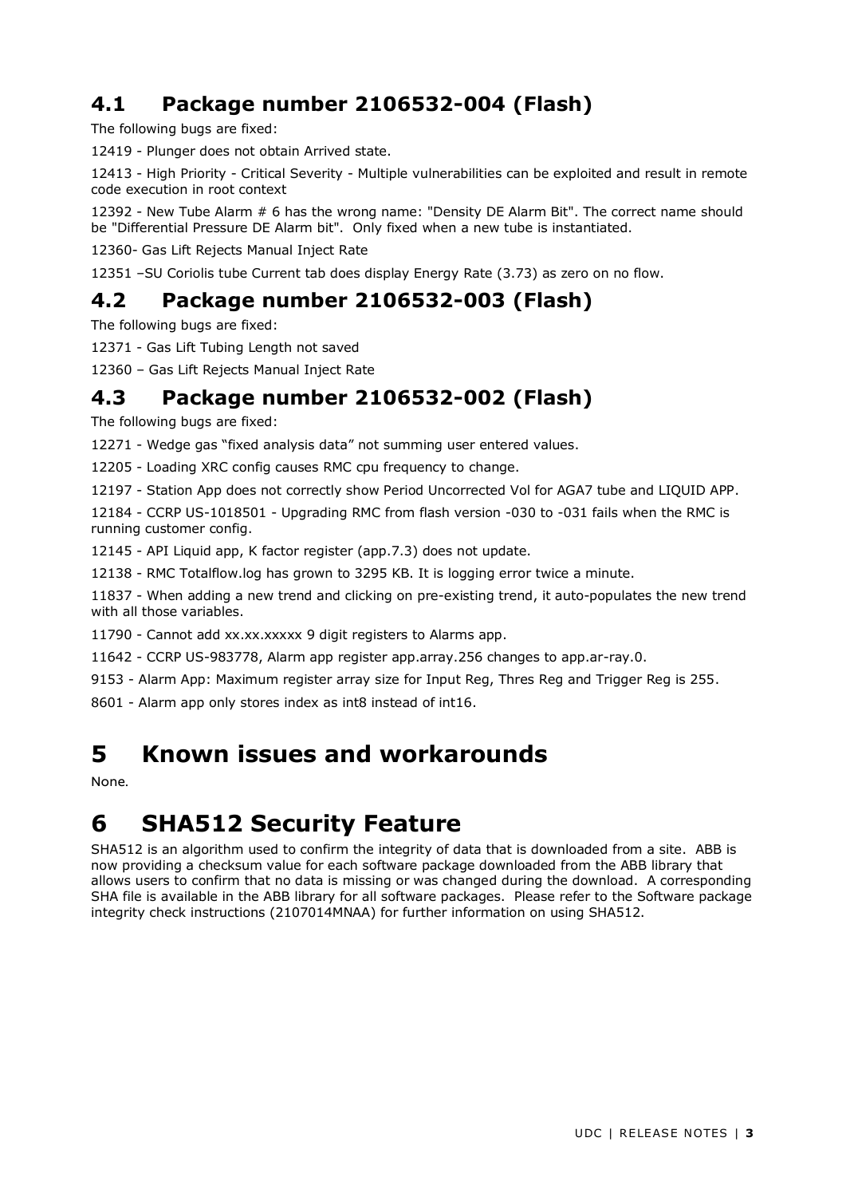## <span id="page-2-0"></span>**4.1 Package number 2106532-004 (Flash)**

The following bugs are fixed:

12419 - Plunger does not obtain Arrived state.

12413 - High Priority - Critical Severity - Multiple vulnerabilities can be exploited and result in remote code execution in root context

12392 - New Tube Alarm # 6 has the wrong name: "Density DE Alarm Bit". The correct name should be "Differential Pressure DE Alarm bit". Only fixed when a new tube is instantiated.

12360- Gas Lift Rejects Manual Inject Rate

12351 –SU Coriolis tube Current tab does display Energy Rate (3.73) as zero on no flow.

#### <span id="page-2-1"></span>**4.2 Package number 2106532-003 (Flash)**

The following bugs are fixed:

12371 - Gas Lift Tubing Length not saved

12360 – Gas Lift Rejects Manual Inject Rate

#### <span id="page-2-2"></span>**4.3 Package number 2106532-002 (Flash)**

The following bugs are fixed:

12271 - Wedge gas "fixed analysis data" not summing user entered values.

12205 - Loading XRC config causes RMC cpu frequency to change.

12197 - Station App does not correctly show Period Uncorrected Vol for AGA7 tube and LIQUID APP.

12184 - CCRP US-1018501 - Upgrading RMC from flash version -030 to -031 fails when the RMC is running customer config.

12145 - API Liquid app, K factor register (app.7.3) does not update.

12138 - RMC Totalflow.log has grown to 3295 KB. It is logging error twice a minute.

11837 - When adding a new trend and clicking on pre-existing trend, it auto-populates the new trend with all those variables.

11790 - Cannot add xx.xx.xxxxx 9 digit registers to Alarms app.

11642 - CCRP US-983778, Alarm app register app.array.256 changes to app.ar-ray.0.

9153 - Alarm App: Maximum register array size for Input Reg, Thres Reg and Trigger Reg is 255.

8601 - Alarm app only stores index as int8 instead of int16.

## <span id="page-2-3"></span>**5 Known issues and workarounds**

None.

# <span id="page-2-4"></span>**6 SHA512 Security Feature**

SHA512 is an algorithm used to confirm the integrity of data that is downloaded from a site. ABB is now providing a checksum value for each software package downloaded from the ABB library that allows users to confirm that no data is missing or was changed during the download. A corresponding SHA file is available in the ABB library for all software packages. Please refer to the Software package integrity check instructions (2107014MNAA) for further information on using SHA512.